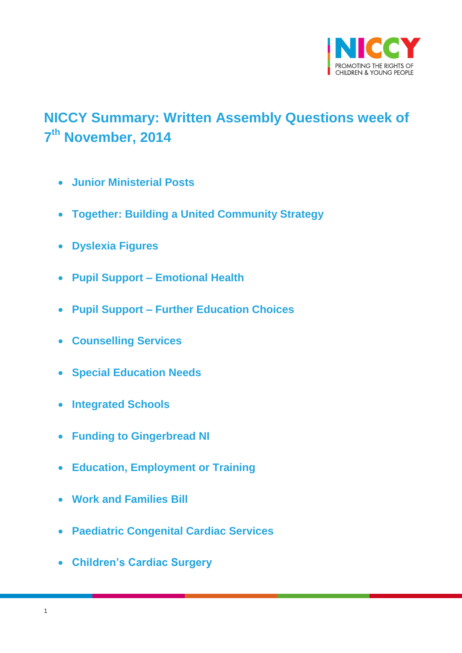

# <span id="page-0-0"></span>**NICCY Summary: Written Assembly Questions week of 7 th November, 2014**

- **[Junior Ministerial Posts](#page-1-0)**
- **[Together: Building a United Community Strategy](#page-1-1)**
- **[Dyslexia Figures](#page-3-0)**
- **Pupil Support – [Emotional Health](#page-3-1)**
- **Pupil Support – [Further Education Choices](#page-5-0)**
- **[Counselling Services](#page-5-1)**
- **[Special Education Needs](#page-6-0)**
- **[Integrated Schools](#page-6-1)**
- **[Funding to Gingerbread NI](#page-6-2)**
- **[Education, Employment or Training](#page-7-0)**
- **[Work and Families Bill](#page-9-0)**
- **[Paediatric Congenital Cardiac Services](#page-10-0)**
- **[Children's Cardiac Surgery](#page-10-1)**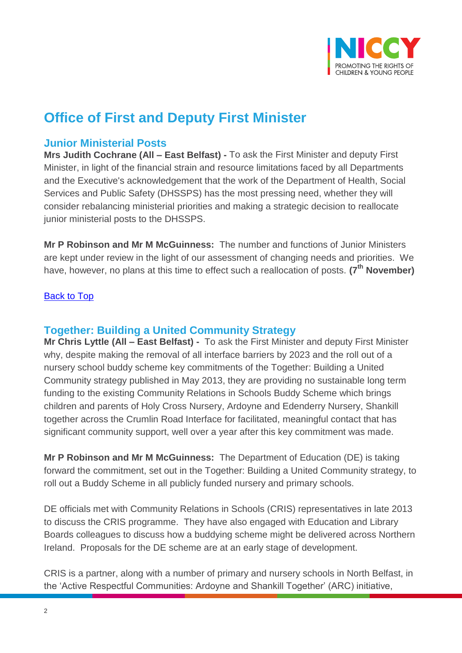

## **Office of First and Deputy First Minister**

## <span id="page-1-0"></span>**Junior Ministerial Posts**

**Mrs Judith Cochrane (All – East Belfast) -** To ask the First Minister and deputy First Minister, in light of the financial strain and resource limitations faced by all Departments and the Executive's acknowledgement that the work of the Department of Health, Social Services and Public Safety (DHSSPS) has the most pressing need, whether they will consider rebalancing ministerial priorities and making a strategic decision to reallocate junior ministerial posts to the DHSSPS.

**Mr P Robinson and Mr M McGuinness:** The number and functions of Junior Ministers are kept under review in the light of our assessment of changing needs and priorities. We have, however, no plans at this time to effect such a reallocation of posts. **(7th November)**

#### [Back to Top](#page-0-0)

## <span id="page-1-1"></span>**Together: Building a United Community Strategy**

**Mr Chris Lyttle (All – East Belfast) -** To ask the First Minister and deputy First Minister why, despite making the removal of all interface barriers by 2023 and the roll out of a nursery school buddy scheme key commitments of the Together: Building a United Community strategy published in May 2013, they are providing no sustainable long term funding to the existing Community Relations in Schools Buddy Scheme which brings children and parents of Holy Cross Nursery, Ardoyne and Edenderry Nursery, Shankill together across the Crumlin Road Interface for facilitated, meaningful contact that has significant community support, well over a year after this key commitment was made.

**Mr P Robinson and Mr M McGuinness:** The Department of Education (DE) is taking forward the commitment, set out in the Together: Building a United Community strategy, to roll out a Buddy Scheme in all publicly funded nursery and primary schools.

DE officials met with Community Relations in Schools (CRIS) representatives in late 2013 to discuss the CRIS programme. They have also engaged with Education and Library Boards colleagues to discuss how a buddying scheme might be delivered across Northern Ireland. Proposals for the DE scheme are at an early stage of development.

CRIS is a partner, along with a number of primary and nursery schools in North Belfast, in the 'Active Respectful Communities: Ardoyne and Shankill Together' (ARC) initiative,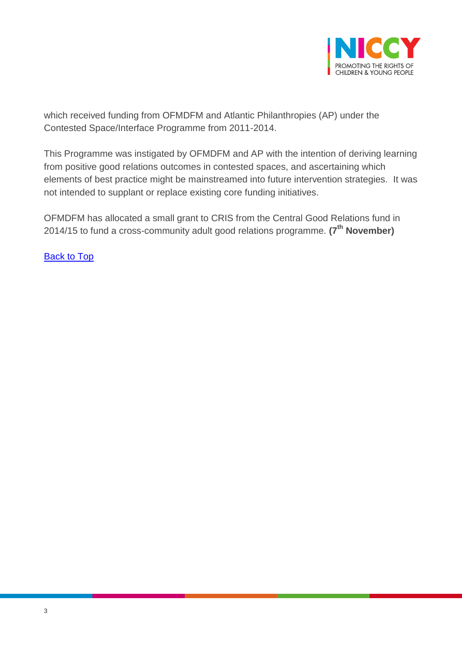

which received funding from OFMDFM and Atlantic Philanthropies (AP) under the Contested Space/Interface Programme from 2011-2014.

This Programme was instigated by OFMDFM and AP with the intention of deriving learning from positive good relations outcomes in contested spaces, and ascertaining which elements of best practice might be mainstreamed into future intervention strategies. It was not intended to supplant or replace existing core funding initiatives.

OFMDFM has allocated a small grant to CRIS from the Central Good Relations fund in 2014/15 to fund a cross-community adult good relations programme. **(7th November)**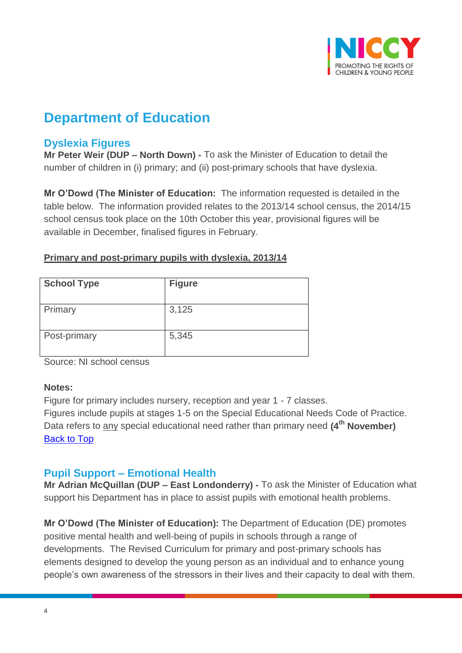

## **Department of Education**

## <span id="page-3-0"></span>**Dyslexia Figures**

**Mr Peter Weir (DUP – North Down) -** To ask the Minister of Education to detail the number of children in (i) primary; and (ii) post-primary schools that have dyslexia.

**Mr O'Dowd (The Minister of Education:** The information requested is detailed in the table below. The information provided relates to the 2013/14 school census, the 2014/15 school census took place on the 10th October this year, provisional figures will be available in December, finalised figures in February.

| <b>School Type</b> | <b>Figure</b> |
|--------------------|---------------|
| Primary            | 3,125         |
| Post-primary       | 5,345         |

#### **Primary and post-primary pupils with dyslexia, 2013/14**

Source: NI school census

#### **Notes:**

Figure for primary includes nursery, reception and year 1 - 7 classes. Figures include pupils at stages 1-5 on the Special Educational Needs Code of Practice. Data refers to any special educational need rather than primary need **(4th November)** [Back to Top](#page-0-0)

## <span id="page-3-1"></span>**Pupil Support – Emotional Health**

**Mr Adrian McQuillan (DUP – East Londonderry) -** To ask the Minister of Education what support his Department has in place to assist pupils with emotional health problems.

**Mr O'Dowd (The Minister of Education):** The Department of Education (DE) promotes positive mental health and well-being of pupils in schools through a range of developments. The Revised Curriculum for primary and post-primary schools has elements designed to develop the young person as an individual and to enhance young people's own awareness of the stressors in their lives and their capacity to deal with them.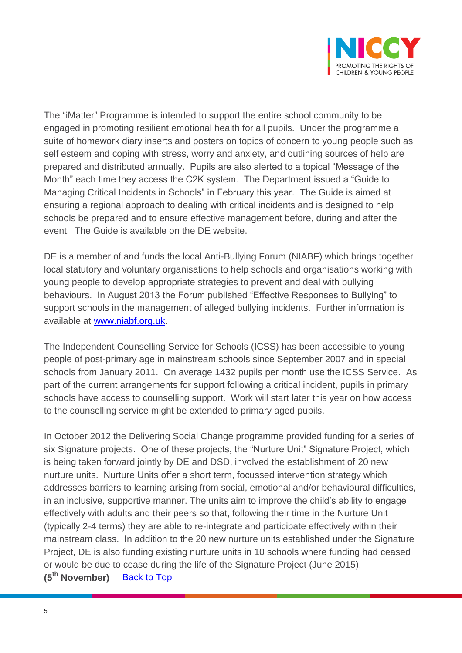

The "iMatter" Programme is intended to support the entire school community to be engaged in promoting resilient emotional health for all pupils. Under the programme a suite of homework diary inserts and posters on topics of concern to young people such as self esteem and coping with stress, worry and anxiety, and outlining sources of help are prepared and distributed annually. Pupils are also alerted to a topical "Message of the Month" each time they access the C2K system. The Department issued a "Guide to Managing Critical Incidents in Schools" in February this year. The Guide is aimed at ensuring a regional approach to dealing with critical incidents and is designed to help schools be prepared and to ensure effective management before, during and after the event. The Guide is available on the DE website.

DE is a member of and funds the local Anti-Bullying Forum (NIABF) which brings together local statutory and voluntary organisations to help schools and organisations working with young people to develop appropriate strategies to prevent and deal with bullying behaviours. In August 2013 the Forum published "Effective Responses to Bullying" to support schools in the management of alleged bullying incidents. Further information is available at [www.niabf.org.uk.](http://www.niabf.org.uk/)

The Independent Counselling Service for Schools (ICSS) has been accessible to young people of post-primary age in mainstream schools since September 2007 and in special schools from January 2011. On average 1432 pupils per month use the ICSS Service. As part of the current arrangements for support following a critical incident, pupils in primary schools have access to counselling support. Work will start later this year on how access to the counselling service might be extended to primary aged pupils.

In October 2012 the Delivering Social Change programme provided funding for a series of six Signature projects. One of these projects, the "Nurture Unit" Signature Project, which is being taken forward jointly by DE and DSD, involved the establishment of 20 new nurture units. Nurture Units offer a short term, focussed intervention strategy which addresses barriers to learning arising from social, emotional and/or behavioural difficulties, in an inclusive, supportive manner. The units aim to improve the child's ability to engage effectively with adults and their peers so that, following their time in the Nurture Unit (typically 2-4 terms) they are able to re-integrate and participate effectively within their mainstream class. In addition to the 20 new nurture units established under the Signature Project, DE is also funding existing nurture units in 10 schools where funding had ceased or would be due to cease during the life of the Signature Project (June 2015). **(5th November)** [Back to Top](#page-0-0)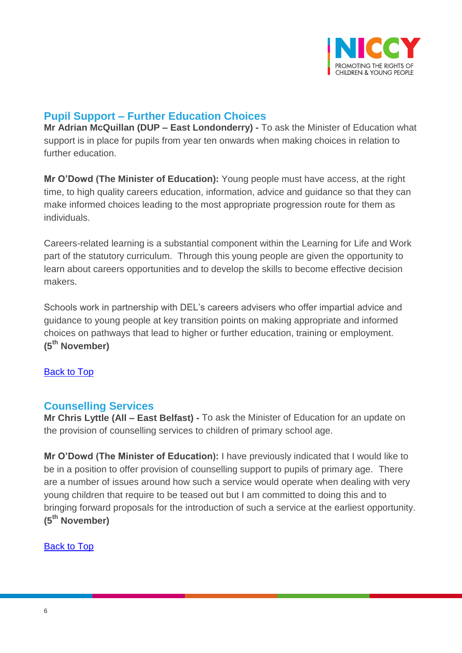

## <span id="page-5-0"></span>**Pupil Support – Further Education Choices**

**Mr Adrian McQuillan (DUP – East Londonderry) -** To ask the Minister of Education what support is in place for pupils from year ten onwards when making choices in relation to further education.

**Mr O'Dowd (The Minister of Education):** Young people must have access, at the right time, to high quality careers education, information, advice and guidance so that they can make informed choices leading to the most appropriate progression route for them as individuals.

Careers-related learning is a substantial component within the Learning for Life and Work part of the statutory curriculum. Through this young people are given the opportunity to learn about careers opportunities and to develop the skills to become effective decision makers.

Schools work in partnership with DEL's careers advisers who offer impartial advice and guidance to young people at key transition points on making appropriate and informed choices on pathways that lead to higher or further education, training or employment. **(5th November)**

[Back to Top](#page-0-0)

## <span id="page-5-1"></span>**Counselling Services**

**Mr Chris Lyttle (All – East Belfast) -** To ask the Minister of Education for an update on the provision of counselling services to children of primary school age.

**Mr O'Dowd (The Minister of Education):** I have previously indicated that I would like to be in a position to offer provision of counselling support to pupils of primary age. There are a number of issues around how such a service would operate when dealing with very young children that require to be teased out but I am committed to doing this and to bringing forward proposals for the introduction of such a service at the earliest opportunity. **(5th November)**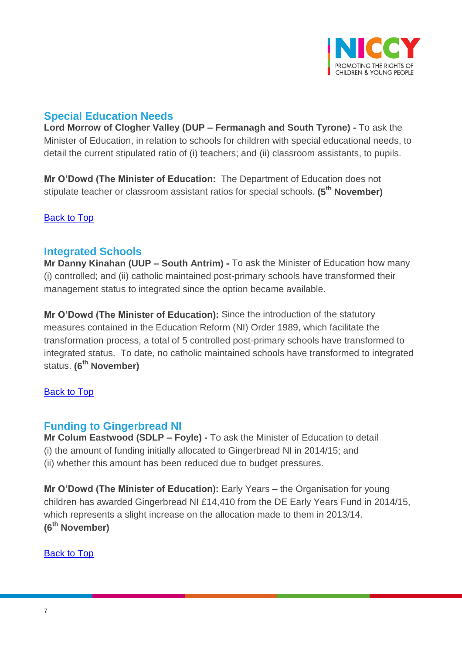

## <span id="page-6-0"></span>**Special Education Needs**

**Lord Morrow of Clogher Valley (DUP – Fermanagh and South Tyrone) -** To ask the Minister of Education, in relation to schools for children with special educational needs, to detail the current stipulated ratio of (i) teachers; and (ii) classroom assistants, to pupils.

**Mr O'Dowd (The Minister of Education:** The Department of Education does not stipulate teacher or classroom assistant ratios for special schools. **(5th November)**

<span id="page-6-1"></span>[Back to Top](#page-0-0)

## **Integrated Schools**

**Mr Danny Kinahan (UUP – South Antrim) -** To ask the Minister of Education how many (i) controlled; and (ii) catholic maintained post-primary schools have transformed their management status to integrated since the option became available.

**Mr O'Dowd (The Minister of Education):** Since the introduction of the statutory measures contained in the Education Reform (NI) Order 1989, which facilitate the transformation process, a total of 5 controlled post-primary schools have transformed to integrated status. To date, no catholic maintained schools have transformed to integrated status. **(6th November)**

#### [Back to Top](#page-0-0)

## <span id="page-6-2"></span>**Funding to Gingerbread NI**

**Mr Colum Eastwood (SDLP – Foyle) -** To ask the Minister of Education to detail (i) the amount of funding initially allocated to Gingerbread NI in 2014/15; and (ii) whether this amount has been reduced due to budget pressures.

**Mr O'Dowd (The Minister of Education):** Early Years – the Organisation for young children has awarded Gingerbread NI £14,410 from the DE Early Years Fund in 2014/15, which represents a slight increase on the allocation made to them in 2013/14. **(6th November)**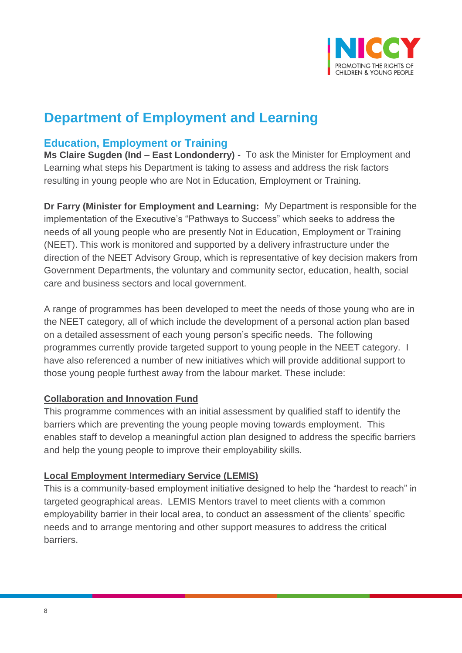

## **Department of Employment and Learning**

## <span id="page-7-0"></span>**Education, Employment or Training**

**Ms Claire Sugden (Ind – East Londonderry) -** To ask the Minister for Employment and Learning what steps his Department is taking to assess and address the risk factors resulting in young people who are Not in Education, Employment or Training.

**Dr Farry (Minister for Employment and Learning:** My Department is responsible for the implementation of the Executive's "Pathways to Success" which seeks to address the needs of all young people who are presently Not in Education, Employment or Training (NEET). This work is monitored and supported by a delivery infrastructure under the direction of the NEET Advisory Group, which is representative of key decision makers from Government Departments, the voluntary and community sector, education, health, social care and business sectors and local government.

A range of programmes has been developed to meet the needs of those young who are in the NEET category, all of which include the development of a personal action plan based on a detailed assessment of each young person's specific needs. The following programmes currently provide targeted support to young people in the NEET category. I have also referenced a number of new initiatives which will provide additional support to those young people furthest away from the labour market. These include:

#### **Collaboration and Innovation Fund**

This programme commences with an initial assessment by qualified staff to identify the barriers which are preventing the young people moving towards employment. This enables staff to develop a meaningful action plan designed to address the specific barriers and help the young people to improve their employability skills.

#### **Local Employment Intermediary Service (LEMIS)**

This is a community-based employment initiative designed to help the "hardest to reach" in targeted geographical areas. LEMIS Mentors travel to meet clients with a common employability barrier in their local area, to conduct an assessment of the clients' specific needs and to arrange mentoring and other support measures to address the critical barriers.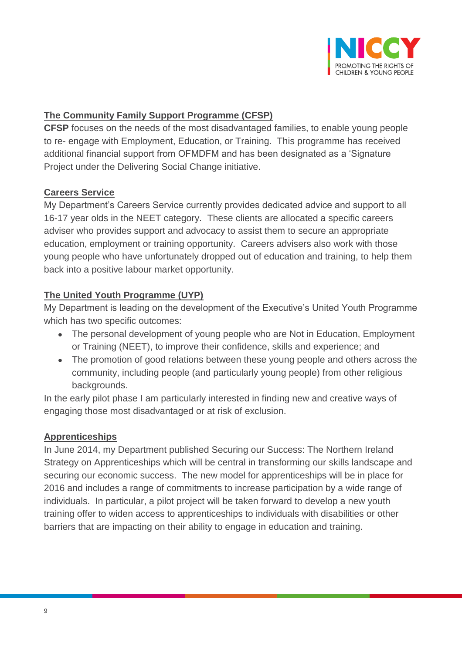

### **The Community Family Support Programme (CFSP)**

**CFSP** focuses on the needs of the most disadvantaged families, to enable young people to re- engage with Employment, Education, or Training. This programme has received additional financial support from OFMDFM and has been designated as a 'Signature Project under the Delivering Social Change initiative.

#### **Careers Service**

My Department's Careers Service currently provides dedicated advice and support to all 16-17 year olds in the NEET category. These clients are allocated a specific careers adviser who provides support and advocacy to assist them to secure an appropriate education, employment or training opportunity. Careers advisers also work with those young people who have unfortunately dropped out of education and training, to help them back into a positive labour market opportunity.

### **The United Youth Programme (UYP)**

My Department is leading on the development of the Executive's United Youth Programme which has two specific outcomes:

- The personal development of young people who are Not in Education, Employment or Training (NEET), to improve their confidence, skills and experience; and
- The promotion of good relations between these young people and others across the community, including people (and particularly young people) from other religious backgrounds.

In the early pilot phase I am particularly interested in finding new and creative ways of engaging those most disadvantaged or at risk of exclusion.

#### **Apprenticeships**

In June 2014, my Department published Securing our Success: The Northern Ireland Strategy on Apprenticeships which will be central in transforming our skills landscape and securing our economic success. The new model for apprenticeships will be in place for 2016 and includes a range of commitments to increase participation by a wide range of individuals. In particular, a pilot project will be taken forward to develop a new youth training offer to widen access to apprenticeships to individuals with disabilities or other barriers that are impacting on their ability to engage in education and training.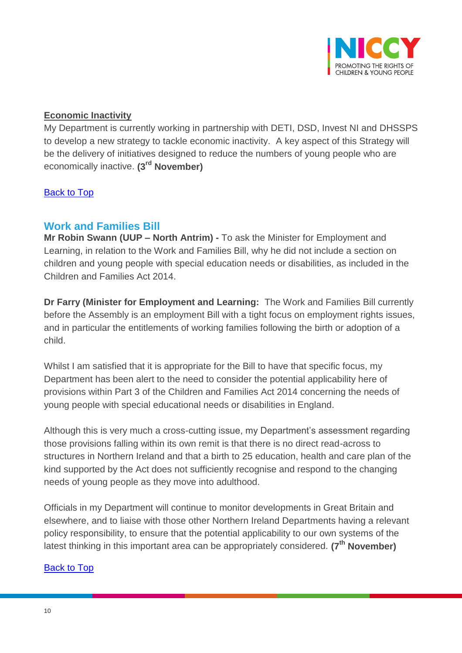

#### **Economic Inactivity**

My Department is currently working in partnership with DETI, DSD, Invest NI and DHSSPS to develop a new strategy to tackle economic inactivity. A key aspect of this Strategy will be the delivery of initiatives designed to reduce the numbers of young people who are economically inactive. **(3rd November)**

#### <span id="page-9-0"></span>[Back to Top](#page-0-0)

## **Work and Families Bill**

**Mr Robin Swann (UUP – North Antrim) -** To ask the Minister for Employment and Learning, in relation to the Work and Families Bill, why he did not include a section on children and young people with special education needs or disabilities, as included in the Children and Families Act 2014.

**Dr Farry (Minister for Employment and Learning:** The Work and Families Bill currently before the Assembly is an employment Bill with a tight focus on employment rights issues, and in particular the entitlements of working families following the birth or adoption of a child.

Whilst I am satisfied that it is appropriate for the Bill to have that specific focus, my Department has been alert to the need to consider the potential applicability here of provisions within Part 3 of the Children and Families Act 2014 concerning the needs of young people with special educational needs or disabilities in England.

Although this is very much a cross-cutting issue, my Department's assessment regarding those provisions falling within its own remit is that there is no direct read-across to structures in Northern Ireland and that a birth to 25 education, health and care plan of the kind supported by the Act does not sufficiently recognise and respond to the changing needs of young people as they move into adulthood.

Officials in my Department will continue to monitor developments in Great Britain and elsewhere, and to liaise with those other Northern Ireland Departments having a relevant policy responsibility, to ensure that the potential applicability to our own systems of the latest thinking in this important area can be appropriately considered. **(7th November)**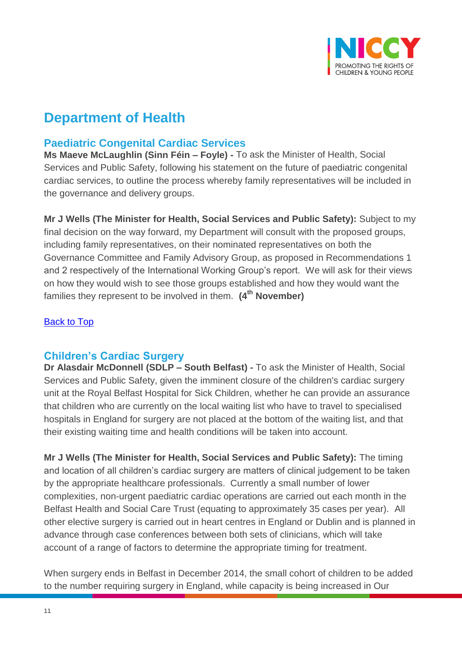

## **Department of Health**

## <span id="page-10-0"></span>**Paediatric Congenital Cardiac Services**

**Ms Maeve McLaughlin (Sinn Féin – Foyle) -** To ask the Minister of Health, Social Services and Public Safety, following his statement on the future of paediatric congenital cardiac services, to outline the process whereby family representatives will be included in the governance and delivery groups.

**Mr J Wells (The Minister for Health, Social Services and Public Safety):** Subject to my final decision on the way forward, my Department will consult with the proposed groups, including family representatives, on their nominated representatives on both the Governance Committee and Family Advisory Group, as proposed in Recommendations 1 and 2 respectively of the International Working Group's report. We will ask for their views on how they would wish to see those groups established and how they would want the families they represent to be involved in them. **(4th November)**

#### [Back to Top](#page-0-0)

## <span id="page-10-1"></span>**Children's Cardiac Surgery**

**Dr Alasdair McDonnell (SDLP – South Belfast) -** To ask the Minister of Health, Social Services and Public Safety, given the imminent closure of the children's cardiac surgery unit at the Royal Belfast Hospital for Sick Children, whether he can provide an assurance that children who are currently on the local waiting list who have to travel to specialised hospitals in England for surgery are not placed at the bottom of the waiting list, and that their existing waiting time and health conditions will be taken into account.

**Mr J Wells (The Minister for Health, Social Services and Public Safety):** The timing and location of all children's cardiac surgery are matters of clinical judgement to be taken by the appropriate healthcare professionals. Currently a small number of lower complexities, non-urgent paediatric cardiac operations are carried out each month in the Belfast Health and Social Care Trust (equating to approximately 35 cases per year). All other elective surgery is carried out in heart centres in England or Dublin and is planned in advance through case conferences between both sets of clinicians, which will take account of a range of factors to determine the appropriate timing for treatment.

When surgery ends in Belfast in December 2014, the small cohort of children to be added to the number requiring surgery in England, while capacity is being increased in Our